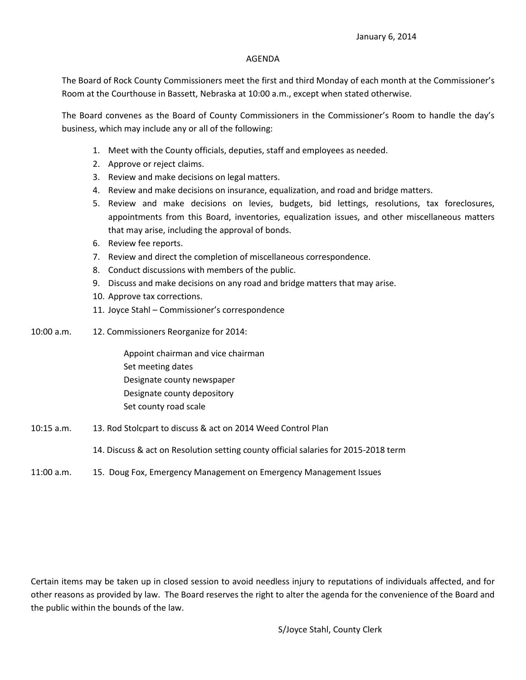## AGENDA

The Board of Rock County Commissioners meet the first and third Monday of each month at the Commissioner's Room at the Courthouse in Bassett, Nebraska at 10:00 a.m., except when stated otherwise.

The Board convenes as the Board of County Commissioners in the Commissioner's Room to handle the day's business, which may include any or all of the following:

- 1. Meet with the County officials, deputies, staff and employees as needed.
- 2. Approve or reject claims.
- 3. Review and make decisions on legal matters.
- 4. Review and make decisions on insurance, equalization, and road and bridge matters.
- 5. Review and make decisions on levies, budgets, bid lettings, resolutions, tax foreclosures, appointments from this Board, inventories, equalization issues, and other miscellaneous matters that may arise, including the approval of bonds.
- 6. Review fee reports.
- 7. Review and direct the completion of miscellaneous correspondence.
- 8. Conduct discussions with members of the public.
- 9. Discuss and make decisions on any road and bridge matters that may arise.
- 10. Approve tax corrections.
- 11. Joyce Stahl Commissioner's correspondence
- 10:00 a.m. 12. Commissioners Reorganize for 2014:

Appoint chairman and vice chairman Set meeting dates Designate county newspaper Designate county depository Set county road scale

- 10:15 a.m. 13. Rod Stolcpart to discuss & act on 2014 Weed Control Plan
	- 14. Discuss & act on Resolution setting county official salaries for 2015-2018 term
- 11:00 a.m. 15. Doug Fox, Emergency Management on Emergency Management Issues

Certain items may be taken up in closed session to avoid needless injury to reputations of individuals affected, and for other reasons as provided by law. The Board reserves the right to alter the agenda for the convenience of the Board and the public within the bounds of the law.

S/Joyce Stahl, County Clerk